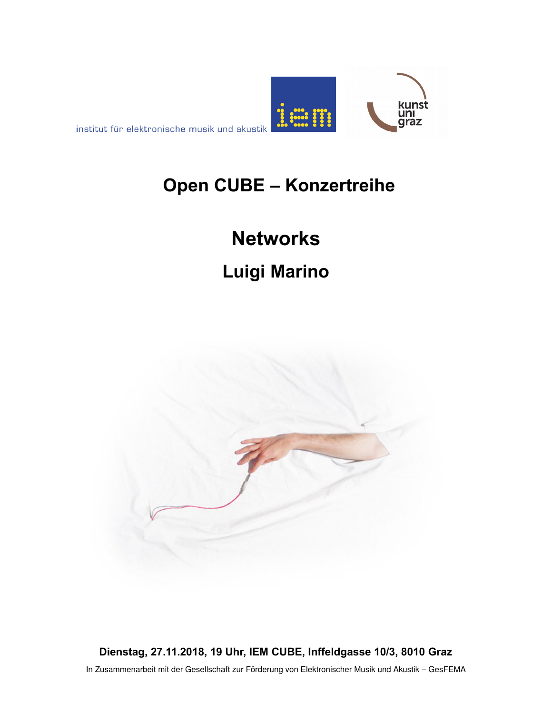

institut für elektronische musik und akustik

## **Open CUBE – Konzertreihe**

# **Networks Luigi Marino**



**Dienstag, 27.11.2018, 19 Uhr, IEM CUBE, Inffeldgasse 10/3, 8010 Graz**

In Zusammenarbeit mit der Gesellschaft zur Förderung von Elektronischer Musik und Akustik – GesFEMA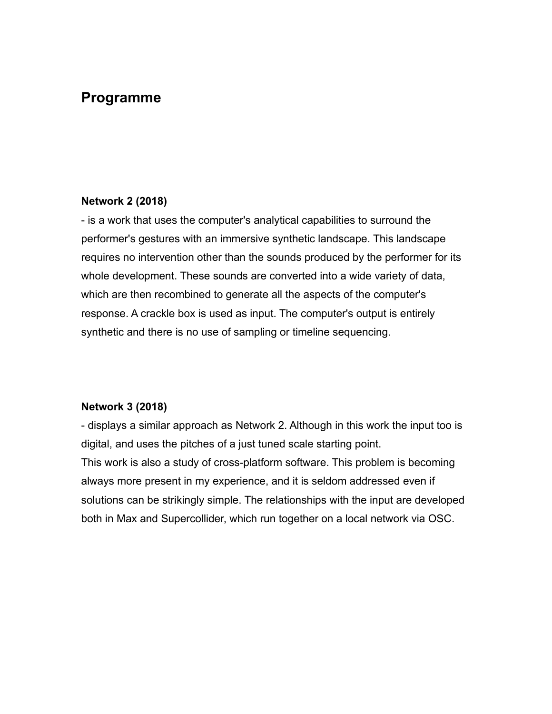### **Programme**

#### **Network 2 (2018)**

- is a work that uses the computer's analytical capabilities to surround the performer's gestures with an immersive synthetic landscape. This landscape requires no intervention other than the sounds produced by the performer for its whole development. These sounds are converted into a wide variety of data, which are then recombined to generate all the aspects of the computer's response. A crackle box is used as input. The computer's output is entirely synthetic and there is no use of sampling or timeline sequencing.

#### **Network 3 (2018)**

- displays a similar approach as Network 2. Although in this work the input too is digital, and uses the pitches of a just tuned scale starting point. This work is also a study of cross-platform software. This problem is becoming always more present in my experience, and it is seldom addressed even if solutions can be strikingly simple. The relationships with the input are developed both in Max and Supercollider, which run together on a local network via OSC.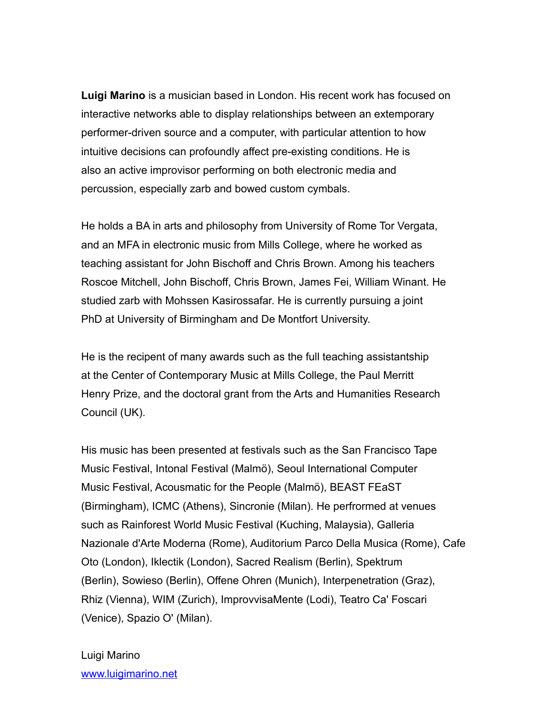**Luigi Marino** is a musician based in London. His recent work has focused on interactive networks able to display relationships between an extemporary performer-driven source and a computer, with particular attention to how intuitive decisions can profoundly affect pre-existing conditions. He is also an active improvisor performing on both electronic media and percussion, especially zarb and bowed custom cymbals.

He holds a BA in arts and philosophy from University of Rome Tor Vergata, and an MFA in electronic music from Mills College, where he worked as teaching assistant for John Bischoff and Chris Brown. Among his teachers Roscoe Mitchell, John Bischoff, Chris Brown, James Fei, William Winant. He studied zarb with Mohssen Kasirossafar. He is currently pursuing a joint PhD at University of Birmingham and De Montfort University.

He is the recipent of many awards such as the full teaching assistantship at the Center of Contemporary Music at Mills College, the Paul Merritt Henry Prize, and the doctoral grant from the Arts and Humanities Research Council (UK).

His music has been presented at festivals such as the San Francisco Tape Music Festival, Intonal Festival (Malmö), Seoul International Computer Music Festival, Acousmatic for the People (Malmö), BEAST FEaST (Birmingham), ICMC (Athens), Sincronie (Milan). He perfrormed at venues such as Rainforest World Music Festival (Kuching, Malaysia), Galleria Nazionale d'Arte Moderna (Rome), Auditorium Parco Della Musica (Rome), Cafe Oto (London), Iklectik (London), Sacred Realism (Berlin), Spektrum (Berlin), Sowieso (Berlin), Offene Ohren (Munich), Interpenetration (Graz), Rhiz (Vienna), WIM (Zurich), ImprovvisaMente (Lodi), Teatro Ca' Foscari (Venice), Spazio O' (Milan).